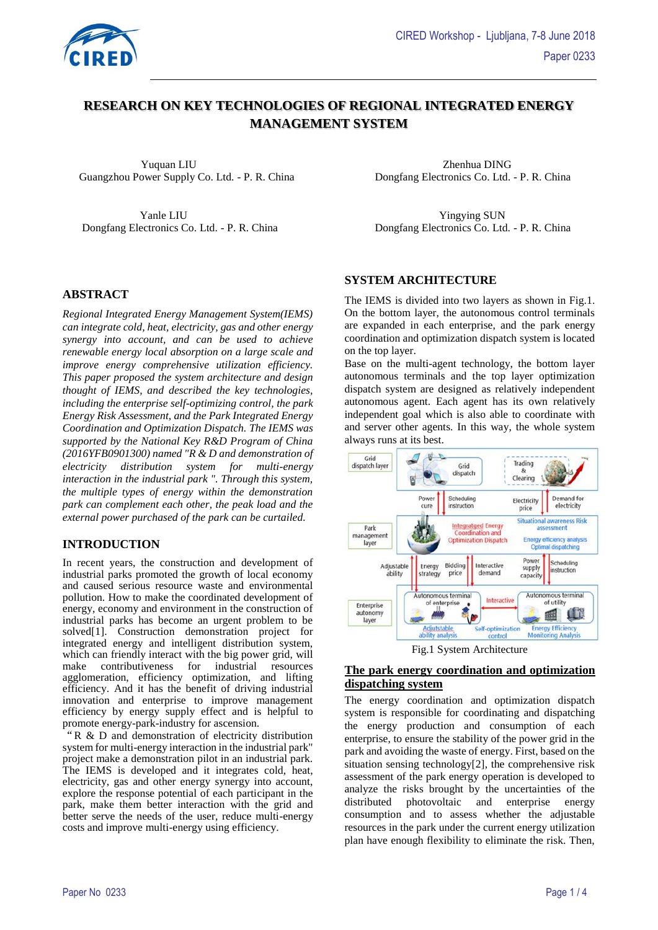

# **RESEARCH ON KEY TECHNOLOGIES OF REGIONAL INTEGRATED ENERGY MANAGEMENT SYSTEM**

 Yuquan LIU Zhenhua DING Guangzhou Power Supply Co. Ltd. - P. R. China Dongfang Electronics Co. Ltd. - P. R. China

Yanle LIU Yingying SUN

### **ABSTRACT**

*Regional Integrated Energy Management System(IEMS) can integrate cold, heat, electricity, gas and other energy synergy into account, and can be used to achieve renewable energy local absorption on a large scale and improve energy comprehensive utilization efficiency. This paper proposed the system architecture and design thought of IEMS, and described the key technologies, including the enterprise self-optimizing control, the park Energy Risk Assessment, and the Park Integrated Energy Coordination and Optimization Dispatch. The IEMS was supported by the National Key R&D Program of China (2016YFB0901300) named "R & D and demonstration of electricity distribution system for multi-energy interaction in the industrial park ". Through this system, the multiple types of energy within the demonstration park can complement each other, the peak load and the external power purchased of the park can be curtailed.*

### **INTRODUCTION**

In recent years, the construction and development of industrial parks promoted the growth of local economy and caused serious resource waste and environmental pollution. How to make the coordinated development of energy, economy and environment in the construction of industrial parks has become an urgent problem to be solved[1]. Construction demonstration project for integrated energy and intelligent distribution system, which can friendly interact with the big power grid, will make contributiveness for industrial resources agglomeration, efficiency optimization, and lifting efficiency. And it has the benefit of driving industrial innovation and enterprise to improve management efficiency by energy supply effect and is helpful to promote energy-park-industry for ascension.

"R & D and demonstration of electricity distribution system for multi-energy interaction in the industrial park" project make a demonstration pilot in an industrial park. The IEMS is developed and it integrates cold, heat, electricity, gas and other energy synergy into account, explore the response potential of each participant in the park, make them better interaction with the grid and better serve the needs of the user, reduce multi-energy costs and improve multi-energy using efficiency.

Dongfang Electronics Co. Ltd. - P. R. China Dongfang Electronics Co. Ltd. - P. R. China

### **SYSTEM ARCHITECTURE**

The IEMS is divided into two layers as shown in Fig.1. On the bottom layer, the autonomous control terminals are expanded in each enterprise, and the park energy coordination and optimization dispatch system is located on the top layer.

Base on the multi-agent technology, the bottom layer autonomous terminals and the top layer optimization dispatch system are designed as relatively independent autonomous agent. Each agent has its own relatively independent goal which is also able to coordinate with and server other agents. In this way, the whole system always runs at its best.



Fig.1 System Architecture

## **The park energy coordination and optimization dispatching system**

The energy coordination and optimization dispatch system is responsible for coordinating and dispatching the energy production and consumption of each enterprise, to ensure the stability of the power grid in the park and avoiding the waste of energy. First, based on the situation sensing technology[2], the comprehensive risk assessment of the park energy operation is developed to analyze the risks brought by the uncertainties of the distributed photovoltaic and enterprise energy consumption and to assess whether the adjustable resources in the park under the current energy utilization plan have enough flexibility to eliminate the risk. Then,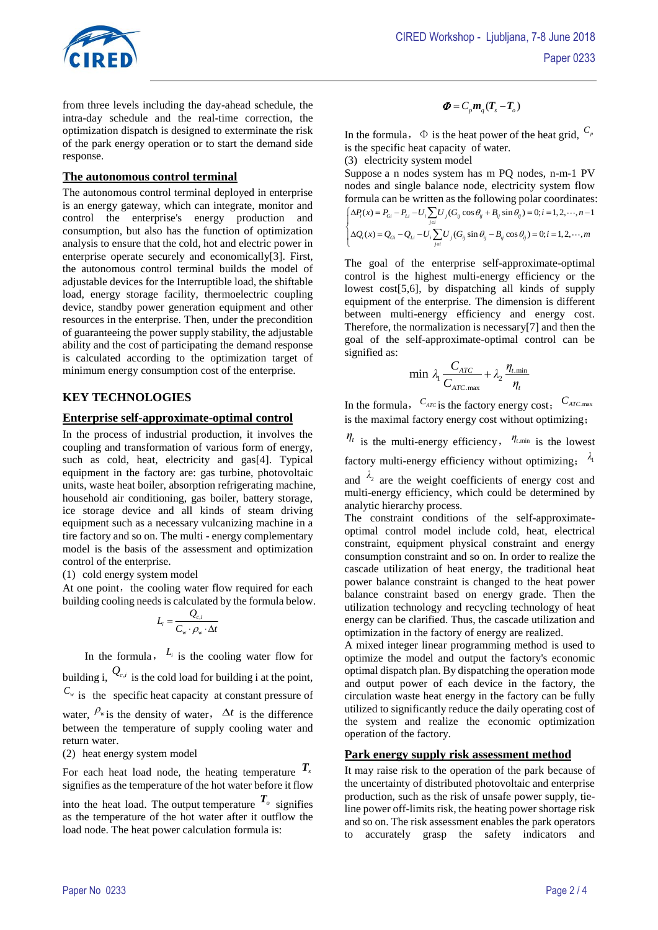

from three levels including the day-ahead schedule, the intra-day schedule and the real-time correction, the optimization dispatch is designed to exterminate the risk of the park energy operation or to start the demand side response.

### **The autonomous control terminal**

The autonomous control terminal deployed in enterprise is an energy gateway, which can integrate, monitor and control the enterprise's energy production and consumption, but also has the function of optimization analysis to ensure that the cold, hot and electric power in enterprise operate securely and economically[3]. First, the autonomous control terminal builds the model of adjustable devices for the Interruptible load, the shiftable load, energy storage facility, thermoelectric coupling device, standby power generation equipment and other resources in the enterprise. Then, under the precondition of guaranteeing the power supply stability, the adjustable ability and the cost of participating the demand response is calculated according to the optimization target of minimum energy consumption cost of the enterprise.

## **KEY TECHNOLOGIES**

## **Enterprise self-approximate-optimal control**

In the process of industrial production, it involves the coupling and transformation of various form of energy, such as cold, heat, electricity and gas[4]. Typical equipment in the factory are: gas turbine, photovoltaic units, waste heat boiler, absorption refrigerating machine, household air conditioning, gas boiler, battery storage, ice storage device and all kinds of steam driving equipment such as a necessary vulcanizing machine in a tire factory and so on. The multi - energy complementary model is the basis of the assessment and optimization control of the enterprise.

(1) cold energy system model

At one point, the cooling water flow required for each building cooling needs is calculated by the formula below.

$$
L_i = \frac{Q_{c,i}}{C_w \cdot \rho_w \cdot \Delta t}
$$

In the formula,  $L_i$  is the cooling water flow for building i,  $Q_{c,i}$  is the cold load for building i at the point,  $C_w$  is the [specific](javascript:;) [heat](javascript:;) [capacity](javascript:;) [at](javascript:;) [constant](javascript:;) [pressure](javascript:;) of water,  $\rho_{\text{w}}$  is the density of water,  $\Delta t$  is the difference between the temperature of supply cooling water and return water.

(2) heat energy system model

For each heat load node, the heating temperature  $T_s$ signifies as the temperature of the hot water before it flow

into the heat load. The output temperature  $T_o$  signifies as the temperature of the hot water after it outflow the load node. The heat power calculation formula is:

## $\Phi = C_p m_a (T_c - T_a)$

In the formula,  $\Phi$  is the heat power of the heat grid,  $C_p$ is th[e specific](javascript:;) [heat](javascript:;) [capacity](javascript:;) of water.

(3) electricity system model

Suppose a n nodes system has m PQ nodes, n-m-1 PV nodes and single balance node, electricity system flow formula can be written as the following polar coordinates:  $(x) = P_{ci} - P_{ti} - U_i$ ;  $U_i (G_{ii} \cos \theta_{ii} + B_{ii} \sin \theta_{ii}) = 0; i = 1,2,\dots, n-1$  $(x) = Q_{ci} - Q_{ti} - U_i$   $\sum U_i (G_{ii} \sin \theta_{ii} - B_{ii} \cos \theta_{ii}) = 0; i = 1,2,...,$ *i*<sub>*i*</sub>  $\frac{d}{dx}$  *Li*  $\frac{d}{dx}$  *Li*  $\frac{d}{dx}$  *L*<sub>*i*</sub>  $\frac{d}{dx}$  *j*  $\frac{d}{dx}$  *j*  $\frac{d}{dx}$  *j*  $\frac{d}{dx}$  *j*  $\frac{d}{dx}$  *li*  $\frac{d}{dx}$  *li*  $\frac{d}{dx}$  *li*  $\frac{d}{dx}$  *li*  $\frac{d}{dx}$  *li*  $\frac{d}{dx}$  *li*  $\frac{d}{dx}$  *li i Gi Li i j ij ij ij ij j i*  $P(x) = P_{\alpha} - P_{\beta} - U$ ,  $\sum U (G_{\alpha} \cos \theta_{\alpha} + B_{\alpha} \sin \theta_{\alpha}) = 0$ ;  $i = 1, 2, \cdots, n$  $Q_i(x) = Q_{ci} - Q_{ti} - U_i$ ,  $U_i(G_i \sin \theta_i - B_i \cos \theta_i) = 0; i = 1, 2, \dots, m$  $\theta_{ii} + B_{ii} \sin \theta_{ii}$  $\left\{\Delta P_i(x) = P_{Gi} - P_{Li} - U_i \sum_{j \in i} U_j (G_{ij} \cos \theta_{ij} + B_{ij} \sin \theta_{ij}) = 0; i = 1, 2, \cdots, n - 1 \right\}$ <br> $\Delta Q_i(x) = Q_{Gi} - Q_{Li} - U_i \sum_{i \in I} U_j (G_{ij} \sin \theta_{ij} - B_{ij} \cos \theta_{ij}) = 0; i = 1, 2, \cdots, m$  $\left\{\Delta Q_i(x) = Q_{Gi} - Q_{Li} - U_i \sum_{j \in i} U_j (G_{ij} \sin \theta_{ij} - B_{ij} \cos \theta_{ij}) = 0; i = 0 \right\}$  $\sum$ l  $\sum l$ 

The goal of the enterprise [self-approximate-optimal](http://xueshu.baidu.com/s?wd=paperuri%3A%285c4b4ce9d9161c5eec7c9b0ebafaebe4%29&filter=sc_long_sign&tn=SE_xueshusource_2kduw22v&sc_vurl=http%3A%2F%2Fwww.en.cnki.com.cn%2FArticle_en%2FCJFDTOTAL-BJLG601.016.htm&ie=utf-8&sc_us=17372001096125910338)  [control](http://xueshu.baidu.com/s?wd=paperuri%3A%285c4b4ce9d9161c5eec7c9b0ebafaebe4%29&filter=sc_long_sign&tn=SE_xueshusource_2kduw22v&sc_vurl=http%3A%2F%2Fwww.en.cnki.com.cn%2FArticle_en%2FCJFDTOTAL-BJLG601.016.htm&ie=utf-8&sc_us=17372001096125910338) is the highest multi-energy efficiency or the lowest cost[5,6], by dispatching all kinds of supply equipment of the enterprise. The dimension is different between multi-energy efficiency and energy cost. Therefore, the normalization is necessary[7] and then the goal of the self-approximate-optimal control can be signified as:

$$
\min \lambda_1 \frac{C_{ATC}}{C_{ATC \text{ max}}} + \lambda_2 \frac{\eta_{t \text{ min}}}{\eta_t}
$$

In the formula,  $C_{ATC}$  is the factory energy cost;  $C_{ATC \text{ max}}$ is the maximal factory energy cost without optimizing;

 $\eta_t$  is the multi-energy efficiency,  $\eta_{t,\min}$  is the lowest factory multi-energy efficiency without optimizing; 1*λ* and  $\lambda_2$  are the weight coefficients of energy cost and multi-energy efficiency, which could be determined by

analytic hierarchy process. The constraint conditions of the self-approximate-

optimal control model include cold, heat, electrical constraint, equipment physical constraint and energy consumption constraint and so on. In order to realize the cascade utilization of heat energy, the traditional heat power balance constraint is changed to the heat power balance constraint based on energy grade. Then the utilization technology and recycling technology of heat energy can be clarified. Thus, the cascade utilization and optimization in the factory of energy are realized.

A mixed integer linear programming method is used to optimize the model and output the factory's economic optimal dispatch plan. By dispatching the operation mode and output power of each device in the factory, the circulation waste heat energy in the factory can be fully utilized to significantly reduce the daily operating cost of the system and realize the economic optimization operation of the factory.

## **Park energy supply risk assessment method**

It may raise risk to the operation of the park because of the uncertainty of distributed photovoltaic and enterprise production, such as the risk of unsafe power supply, tieline power off-limits risk, the heating power shortage risk and so on. The risk assessment enables the park operators to accurately grasp the safety indicators and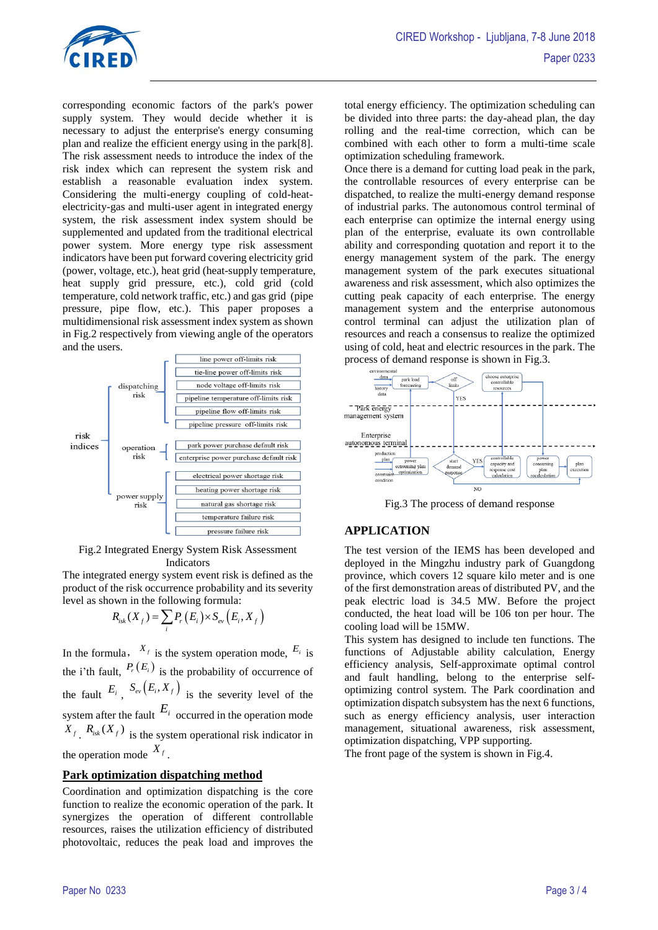

corresponding economic factors of the park's power supply system. They would decide whether it is necessary to adjust the enterprise's energy consuming plan and realize the efficient energy using in the park[8]. The risk assessment needs to introduce the index of the risk index which can represent the system risk and establish a reasonable evaluation index system. Considering the multi-energy coupling of cold-heatelectricity-gas and multi-user agent in integrated energy system, the risk assessment index system should be supplemented and updated from the traditional electrical power system. More energy type risk assessment indicators have been put forward covering electricity grid (power, voltage, etc.), heat grid (heat-supply temperature, heat supply grid pressure, etc.), cold grid (cold temperature, cold network traffic, etc.) and gas grid (pipe pressure, pipe flow, etc.). This paper proposes a multidimensional risk assessment index system as shown in Fig.2 respectively from viewing angle of the operators and the users.



Fig.2 Integrated Energy System Risk Assessment Indicators

The integrated energy system event risk is defined as the product of the risk occurrence probability and its severity

level as shown in the following formula:  
\n
$$
R_{isk}(X_f) = \sum_i P_r(E_i) \times S_{ev}(E_i, X_f)
$$

In the formula,  $X_f$  is the system operation mode,  $E_i$  is the i'th fault,  $P_r(E_i)$  is the probability of occurrence of the fault  $E_i$ ,  $S_{ev}(E_i, X_f)$  is the severity level of the system after the fault  $E_i$  occurred in the operation mode  $X_f$ ,  $R_{isk}(X_f)$  is the system operational risk indicator in the operation mode  $X_f$ .

## **Park optimization dispatching method**

Coordination and optimization dispatching is the core function to realize the economic operation of the park. It synergizes the operation of different controllable resources, raises the utilization efficiency of distributed photovoltaic, reduces the peak load and improves the

total energy efficiency. The optimization scheduling can be divided into three parts: the day-ahead plan, the day rolling and the real-time correction, which can be combined with each other to form a multi-time scale optimization scheduling framework.

Once there is a demand for cutting load peak in the park, the controllable resources of every enterprise can be dispatched, to realize the multi-energy demand response of industrial parks. The autonomous control terminal of each enterprise can optimize the internal energy using plan of the enterprise, evaluate its own controllable ability and corresponding quotation and report it to the energy management system of the park. The energy management system of the park executes situational awareness and risk assessment, which also optimizes the cutting peak capacity of each enterprise. The energy management system and the enterprise autonomous control terminal can adjust the utilization plan of resources and reach a consensus to realize the optimized using of cold, heat and electric resources in the park. The process of demand response is shown in Fig.3.



Fig.3 The process of demand response

## **APPLICATION**

The test version of the IEMS has been developed and deployed in the Mingzhu industry park of Guangdong province, which covers 12 square kilo meter and is one of the first demonstration areas of distributed PV, and the peak electric load is 34.5 MW. Before the project conducted, the heat load will be 106 ton per hour. The cooling load will be 15MW.

This system has designed to include ten functions. The functions of Adjustable ability calculation, Energy efficiency analysis, Self-approximate optimal control and fault handling, belong to the enterprise selfoptimizing control system. The Park coordination and optimization dispatch subsystem has the next 6 functions, such as energy efficiency analysis, user interaction management, situational awareness, risk assessment, optimization dispatching, VPP supporting.

The front page of the system is shown in Fig.4.